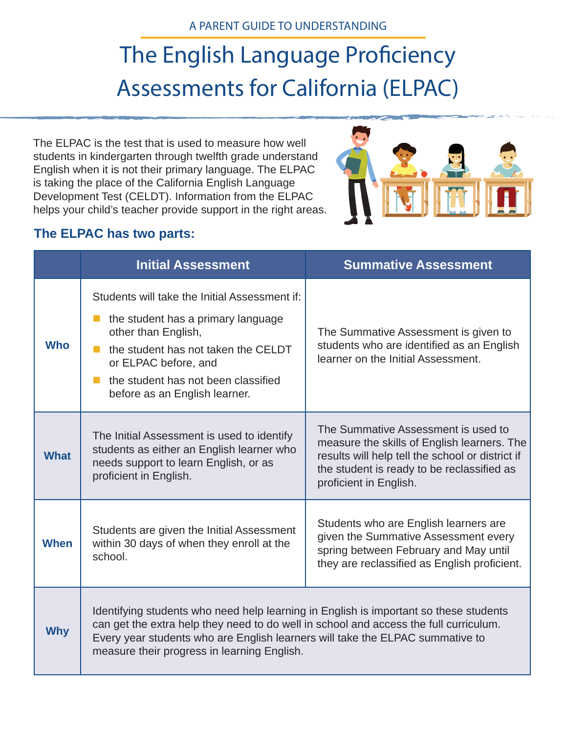# The English Language Proficiency Assessments for California (ELPAC)

The ELPAC is the test that is used to measure how well students in kindergarten through twelfth grade understand English when it is not their primary language. The ELPAC is taking the place of the California English Language Development Test (CELDT). Information from the ELPAC helps your child's teacher provide support in the right areas.



### **The ELPAC has two parts:**

|             | <b>Initial Assessment</b>                                                                                                                                                                                                                                                                                      | <b>Summative Assessment</b>                                                                                                                                                                                    |
|-------------|----------------------------------------------------------------------------------------------------------------------------------------------------------------------------------------------------------------------------------------------------------------------------------------------------------------|----------------------------------------------------------------------------------------------------------------------------------------------------------------------------------------------------------------|
| <b>Who</b>  | Students will take the Initial Assessment if:<br>the student has a primary language<br>other than English,<br>the student has not taken the CELDT<br>or ELPAC before, and<br>the student has not been classified<br>before as an English learner.                                                              | The Summative Assessment is given to<br>students who are identified as an English<br>learner on the Initial Assessment.                                                                                        |
| <b>What</b> | The Initial Assessment is used to identify<br>students as either an English learner who<br>needs support to learn English, or as<br>proficient in English.                                                                                                                                                     | The Summative Assessment is used to<br>measure the skills of English learners. The<br>results will help tell the school or district if<br>the student is ready to be reclassified as<br>proficient in English. |
| <b>When</b> | Students are given the Initial Assessment<br>within 30 days of when they enroll at the<br>school.                                                                                                                                                                                                              | Students who are English learners are<br>given the Summative Assessment every<br>spring between February and May until<br>they are reclassified as English proficient.                                         |
| <b>Why</b>  | Identifying students who need help learning in English is important so these students<br>can get the extra help they need to do well in school and access the full curriculum.<br>Every year students who are English learners will take the ELPAC summative to<br>measure their progress in learning English. |                                                                                                                                                                                                                |